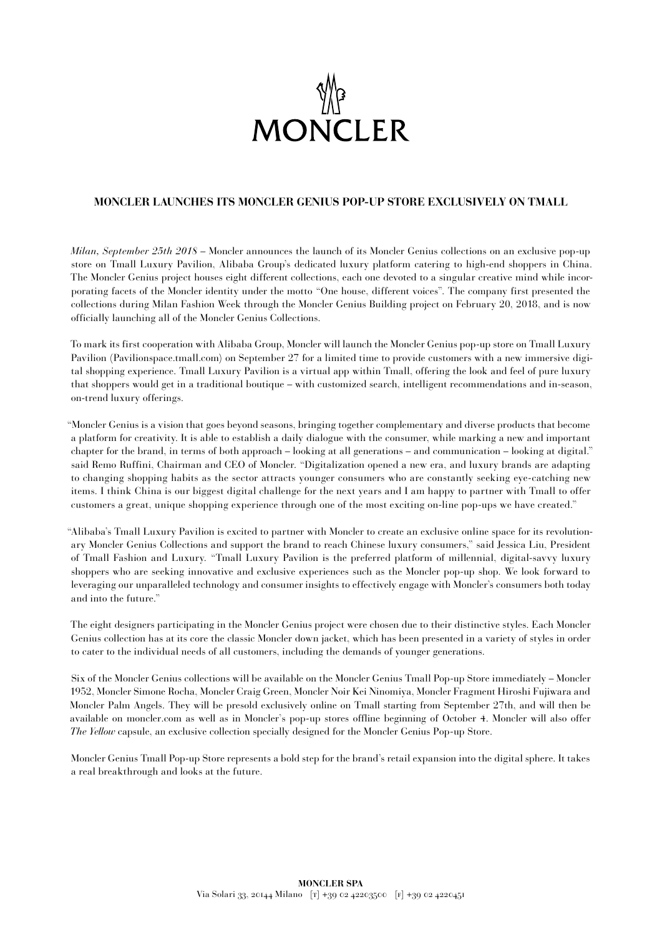

# **MONCLER LAUNCHES ITS MONCLER GENIUS POP-UP STORE EXCLUSIVELY ON TMALL**

*Milan, September 25th 2018* – Moncler announces the launch of its Moncler Genius collections on an exclusive pop-up store on Tmall Luxury Pavilion, Alibaba Group's dedicated luxury platform catering to high-end shoppers in China. The Moncler Genius project houses eight different collections, each one devoted to a singular creative mind while incorporating facets of the Moncler identity under the motto "One house, different voices". The company first presented the collections during Milan Fashion Week through the Moncler Genius Building project on February 20, 2018, and is now officially launching all of the Moncler Genius Collections.

To mark its first cooperation with Alibaba Group, Moncler will launch the Moncler Genius pop-up store on Tmall Luxury Pavilion (Pavilionspace.tmall.com) on September 27 for a limited time to provide customers with a new immersive digital shopping experience. Tmall Luxury Pavilion is a virtual app within Tmall, offering the look and feel of pure luxury that shoppers would get in a traditional boutique – with customized search, intelligent recommendations and in-season, on-trend luxury offerings.

"Moncler Genius is a vision that goes beyond seasons, bringing together complementary and diverse products that become a platform for creativity. It is able to establish a daily dialogue with the consumer, while marking a new and important chapter for the brand, in terms of both approach – looking at all generations – and communication – looking at digital." said Remo Ruffini, Chairman and CEO of Moncler. "Digitalization opened a new era, and luxury brands are adapting to changing shopping habits as the sector attracts younger consumers who are constantly seeking eye-catching new items. I think China is our biggest digital challenge for the next years and I am happy to partner with Tmall to offer customers a great, unique shopping experience through one of the most exciting on-line pop-ups we have created."

"Alibaba's Tmall Luxury Pavilion is excited to partner with Moncler to create an exclusive online space for its revolutionary Moncler Genius Collections and support the brand to reach Chinese luxury consumers," said Jessica Liu, President of Tmall Fashion and Luxury. "Tmall Luxury Pavilion is the preferred platform of millennial, digital-savvy luxury shoppers who are seeking innovative and exclusive experiences such as the Moncler pop-up shop. We look forward to leveraging our unparalleled technology and consumer insights to effectively engage with Moncler's consumers both today and into the future."

The eight designers participating in the Moncler Genius project were chosen due to their distinctive styles. Each Moncler Genius collection has at its core the classic Moncler down jacket, which has been presented in a variety of styles in order to cater to the individual needs of all customers, including the demands of younger generations.

Six of the Moncler Genius collections will be available on the Moncler Genius Tmall Pop-up Store immediately – Moncler 1952, Moncler Simone Rocha, Moncler Craig Green, Moncler Noir Kei Ninomiya, Moncler Fragment Hiroshi Fujiwara and Moncler Palm Angels. They will be presold exclusively online on Tmall starting from September 27th, and will then be available on moncler.com as well as in Moncler's pop-up stores offline beginning of October 4. Moncler will also offer *The Yellow* capsule, an exclusive collection specially designed for the Moncler Genius Pop-up Store.

Moncler Genius Tmall Pop-up Store represents a bold step for the brand's retail expansion into the digital sphere. It takes a real breakthrough and looks at the future.